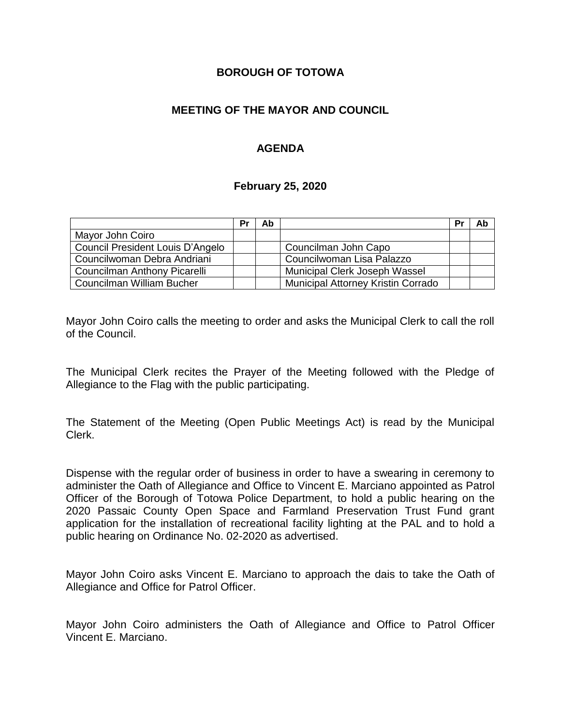#### **BOROUGH OF TOTOWA**

### **MEETING OF THE MAYOR AND COUNCIL**

### **AGENDA**

#### **February 25, 2020**

|                                  | Pr | Ab |                                    | Pr | Ab |
|----------------------------------|----|----|------------------------------------|----|----|
| Mayor John Coiro                 |    |    |                                    |    |    |
| Council President Louis D'Angelo |    |    | Councilman John Capo               |    |    |
| Councilwoman Debra Andriani      |    |    | Councilwoman Lisa Palazzo          |    |    |
| Councilman Anthony Picarelli     |    |    | Municipal Clerk Joseph Wassel      |    |    |
| Councilman William Bucher        |    |    | Municipal Attorney Kristin Corrado |    |    |

Mayor John Coiro calls the meeting to order and asks the Municipal Clerk to call the roll of the Council.

The Municipal Clerk recites the Prayer of the Meeting followed with the Pledge of Allegiance to the Flag with the public participating.

The Statement of the Meeting (Open Public Meetings Act) is read by the Municipal Clerk.

Dispense with the regular order of business in order to have a swearing in ceremony to administer the Oath of Allegiance and Office to Vincent E. Marciano appointed as Patrol Officer of the Borough of Totowa Police Department, to hold a public hearing on the 2020 Passaic County Open Space and Farmland Preservation Trust Fund grant application for the installation of recreational facility lighting at the PAL and to hold a public hearing on Ordinance No. 02-2020 as advertised.

Mayor John Coiro asks Vincent E. Marciano to approach the dais to take the Oath of Allegiance and Office for Patrol Officer.

Mayor John Coiro administers the Oath of Allegiance and Office to Patrol Officer Vincent E. Marciano.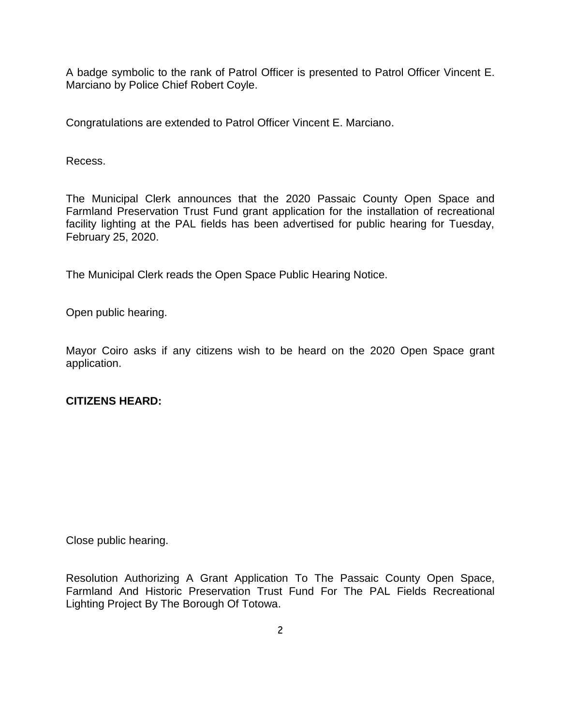A badge symbolic to the rank of Patrol Officer is presented to Patrol Officer Vincent E. Marciano by Police Chief Robert Coyle.

Congratulations are extended to Patrol Officer Vincent E. Marciano.

Recess.

The Municipal Clerk announces that the 2020 Passaic County Open Space and Farmland Preservation Trust Fund grant application for the installation of recreational facility lighting at the PAL fields has been advertised for public hearing for Tuesday, February 25, 2020.

The Municipal Clerk reads the Open Space Public Hearing Notice.

Open public hearing.

Mayor Coiro asks if any citizens wish to be heard on the 2020 Open Space grant application.

#### **CITIZENS HEARD:**

Close public hearing.

Resolution Authorizing A Grant Application To The Passaic County Open Space, Farmland And Historic Preservation Trust Fund For The PAL Fields Recreational Lighting Project By The Borough Of Totowa.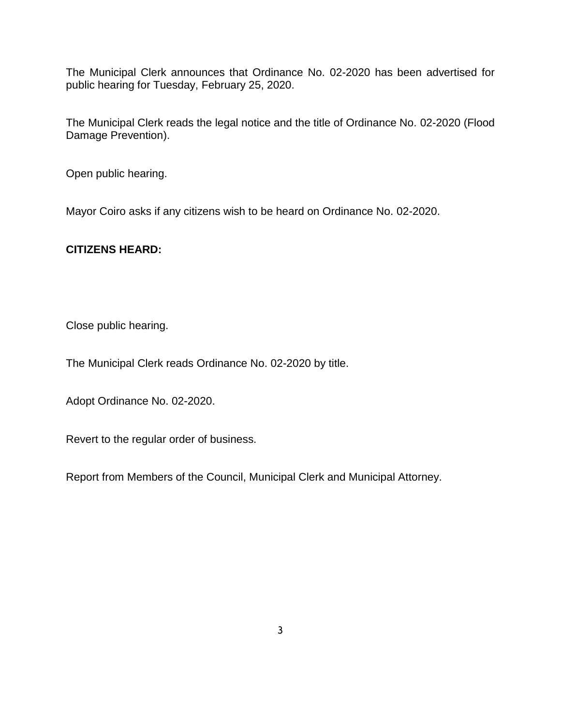The Municipal Clerk announces that Ordinance No. 02-2020 has been advertised for public hearing for Tuesday, February 25, 2020.

The Municipal Clerk reads the legal notice and the title of Ordinance No. 02-2020 (Flood Damage Prevention).

Open public hearing.

Mayor Coiro asks if any citizens wish to be heard on Ordinance No. 02-2020.

### **CITIZENS HEARD:**

Close public hearing.

The Municipal Clerk reads Ordinance No. 02-2020 by title.

Adopt Ordinance No. 02-2020.

Revert to the regular order of business.

Report from Members of the Council, Municipal Clerk and Municipal Attorney.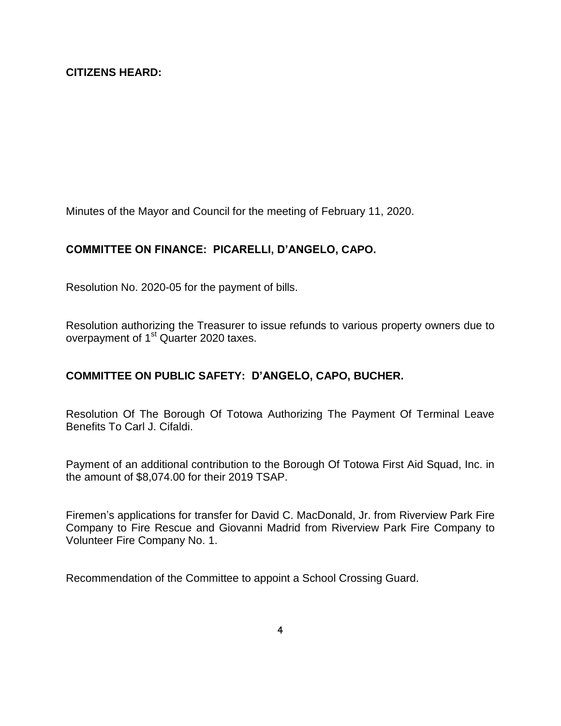Minutes of the Mayor and Council for the meeting of February 11, 2020.

# **COMMITTEE ON FINANCE: PICARELLI, D'ANGELO, CAPO.**

Resolution No. 2020-05 for the payment of bills.

Resolution authorizing the Treasurer to issue refunds to various property owners due to overpayment of 1st Quarter 2020 taxes.

# **COMMITTEE ON PUBLIC SAFETY: D'ANGELO, CAPO, BUCHER.**

Resolution Of The Borough Of Totowa Authorizing The Payment Of Terminal Leave Benefits To Carl J. Cifaldi.

Payment of an additional contribution to the Borough Of Totowa First Aid Squad, Inc. in the amount of \$8,074.00 for their 2019 TSAP.

Firemen's applications for transfer for David C. MacDonald, Jr. from Riverview Park Fire Company to Fire Rescue and Giovanni Madrid from Riverview Park Fire Company to Volunteer Fire Company No. 1.

Recommendation of the Committee to appoint a School Crossing Guard.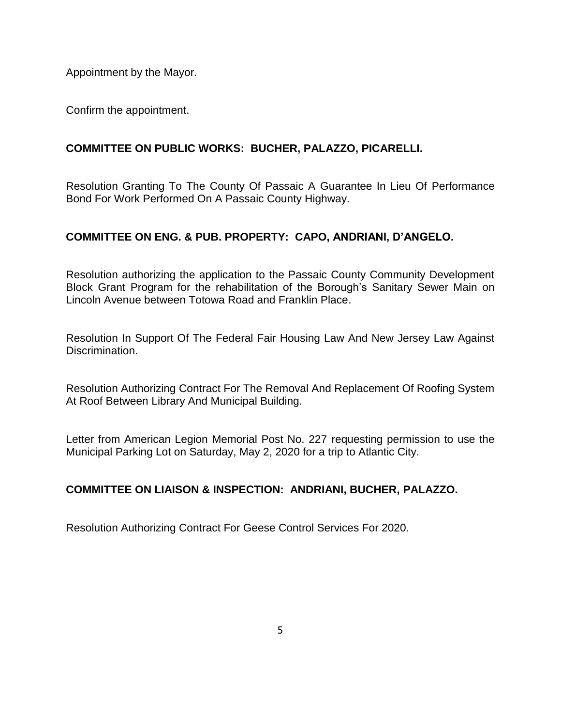Appointment by the Mayor.

Confirm the appointment.

## **COMMITTEE ON PUBLIC WORKS: BUCHER, PALAZZO, PICARELLI.**

Resolution Granting To The County Of Passaic A Guarantee In Lieu Of Performance Bond For Work Performed On A Passaic County Highway.

### **COMMITTEE ON ENG. & PUB. PROPERTY: CAPO, ANDRIANI, D'ANGELO.**

Resolution authorizing the application to the Passaic County Community Development Block Grant Program for the rehabilitation of the Borough's Sanitary Sewer Main on Lincoln Avenue between Totowa Road and Franklin Place.

Resolution In Support Of The Federal Fair Housing Law And New Jersey Law Against Discrimination.

Resolution Authorizing Contract For The Removal And Replacement Of Roofing System At Roof Between Library And Municipal Building.

Letter from American Legion Memorial Post No. 227 requesting permission to use the Municipal Parking Lot on Saturday, May 2, 2020 for a trip to Atlantic City.

#### **COMMITTEE ON LIAISON & INSPECTION: ANDRIANI, BUCHER, PALAZZO.**

Resolution Authorizing Contract For Geese Control Services For 2020.